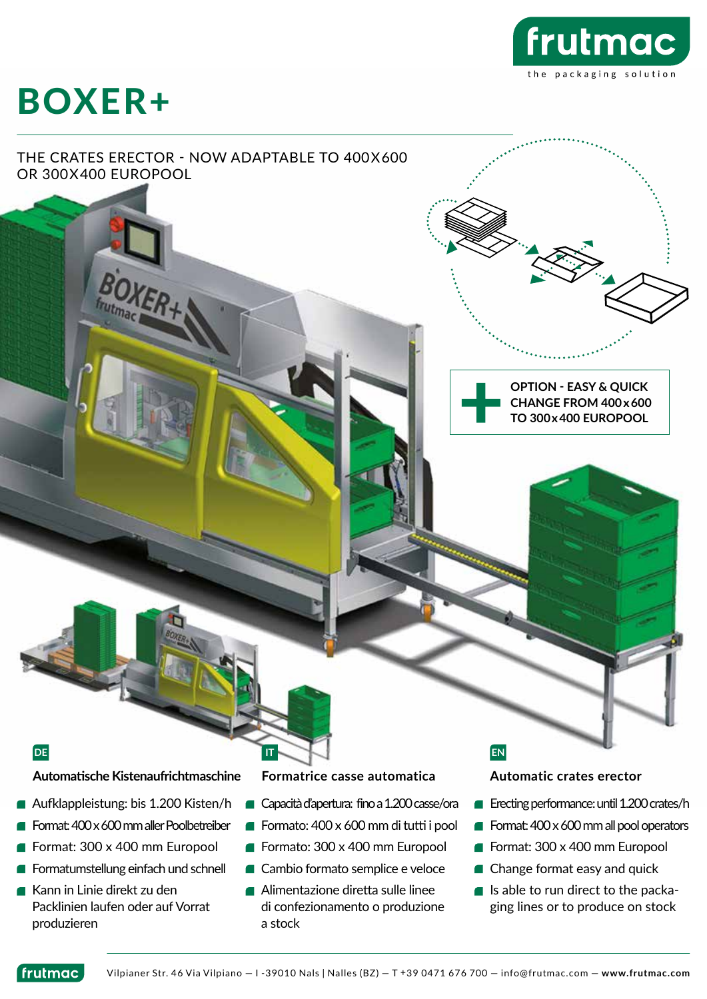

# BOXER+

### THE CRATES ERECTOR - NOW ADAPTABLE TO 400X600 OR 300X400 EUROPOOL

**OPTION - EASY & QUICK CHANGE FROM 400 x 600 TO 300 x 400 EUROPOOL**

**Automatische Kistenaufrichtmaschine Formatrice casse automatica Automatic crates erector**

- Aufklappleistung: bis 1.200 Kisten/h
- Format: 400 x 600 mm aller Poolbetreiber
- Format: 300 x 400 mm Europool
- Formatumstellung einfach und schnell
- Kann in Linie direkt zu den Packlinien laufen oder auf Vorrat produzieren

- Capacità d'apertura: fino a 1.200 casse/ora
- Formato: 400 x 600 mm di tutti i pool
- Formato: 300 x 400 mm Europool
- Cambio formato semplice e veloce
- Alimentazione diretta sulle linee di confezionamento o produzione a stock

### **DE IT EN**

- **Execting performance: until 1.200 crates/h**
- Format:  $400 \times 600$  mm all pool operators
- Format: 300 x 400 mm Europool
- Change format easy and quick
- $\blacksquare$  Is able to run direct to the packaging lines or to produce on stock